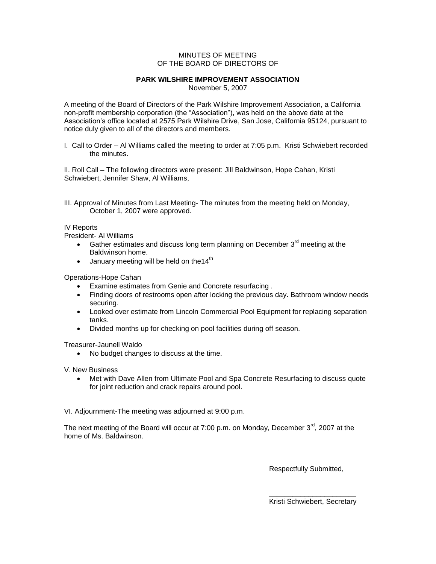## MINUTES OF MEETING OF THE BOARD OF DIRECTORS OF

## **PARK WILSHIRE IMPROVEMENT ASSOCIATION**

November 5, 2007

A meeting of the Board of Directors of the Park Wilshire Improvement Association, a California non-profit membership corporation (the "Association"), was held on the above date at the Association's office located at 2575 Park Wilshire Drive, San Jose, California 95124, pursuant to notice duly given to all of the directors and members.

I. Call to Order – Al Williams called the meeting to order at 7:05 p.m. Kristi Schwiebert recorded the minutes.

II. Roll Call – The following directors were present: Jill Baldwinson, Hope Cahan, Kristi Schwiebert, Jennifer Shaw, Al Williams,

III. Approval of Minutes from Last Meeting- The minutes from the meeting held on Monday, October 1, 2007 were approved.

## IV Reports

President- Al Williams

- Gather estimates and discuss long term planning on December  $3<sup>rd</sup>$  meeting at the Baldwinson home.
- $\bullet$  January meeting will be held on the 14<sup>th</sup>

Operations-Hope Cahan

- Examine estimates from Genie and Concrete resurfacing .
- Finding doors of restrooms open after locking the previous day. Bathroom window needs securing.
- Looked over estimate from Lincoln Commercial Pool Equipment for replacing separation tanks.
- Divided months up for checking on pool facilities during off season.

Treasurer-Jaunell Waldo

• No budget changes to discuss at the time.

V. New Business

 Met with Dave Allen from Ultimate Pool and Spa Concrete Resurfacing to discuss quote for joint reduction and crack repairs around pool.

VI. Adjournment-The meeting was adjourned at 9:00 p.m.

The next meeting of the Board will occur at 7:00 p.m. on Monday, December  $3^{\text{rd}}$ , 2007 at the home of Ms. Baldwinson.

Respectfully Submitted,

\_\_\_\_\_\_\_\_\_\_\_\_\_\_\_\_\_\_\_\_\_\_ Kristi Schwiebert, Secretary